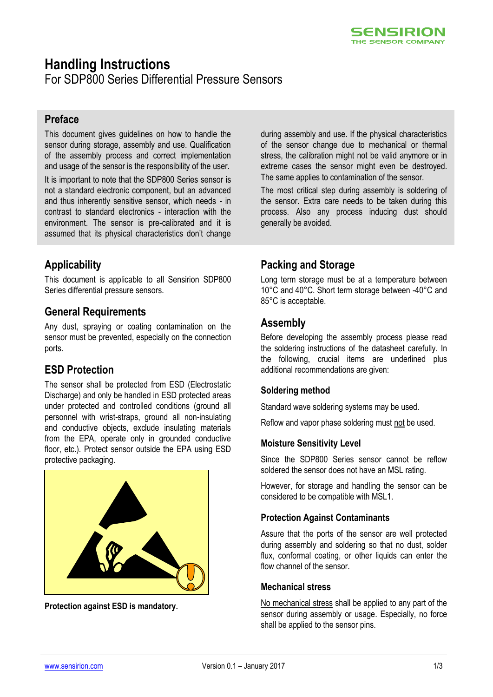

# **Handling Instructions**

For SDP800 Series Differential Pressure Sensors

## **Preface**

This document gives guidelines on how to handle the sensor during storage, assembly and use. Qualification of the assembly process and correct implementation and usage of the sensor is the responsibility of the user.

It is important to note that the SDP800 Series sensor is not a standard electronic component, but an advanced and thus inherently sensitive sensor, which needs - in contrast to standard electronics - interaction with the environment. The sensor is pre-calibrated and it is assumed that its physical characteristics don't change

# **Applicability**

This document is applicable to all Sensirion SDP800 Series differential pressure sensors.

## **General Requirements**

Any dust, spraying or coating contamination on the sensor must be prevented, especially on the connection ports.

# **ESD Protection**

The sensor shall be protected from ESD (Electrostatic Discharge) and only be handled in ESD protected areas under protected and controlled conditions (ground all personnel with wrist-straps, ground all non-insulating and conductive objects, exclude insulating materials from the EPA, operate only in grounded conductive floor, etc.). Protect sensor outside the EPA using ESD protective packaging.



**Protection against ESD is mandatory.**

during assembly and use. If the physical characteristics of the sensor change due to mechanical or thermal stress, the calibration might not be valid anymore or in extreme cases the sensor might even be destroyed. The same applies to contamination of the sensor.

The most critical step during assembly is soldering of the sensor. Extra care needs to be taken during this process. Also any process inducing dust should generally be avoided.

## **Packing and Storage**

Long term storage must be at a temperature between 10°C and 40°C. Short term storage between -40°C and 85°C is acceptable.

## **Assembly**

Before developing the assembly process please read the soldering instructions of the datasheet carefully. In the following, crucial items are underlined plus additional recommendations are given:

#### **Soldering method**

Standard wave soldering systems may be used.

Reflow and vapor phase soldering must not be used.

#### **Moisture Sensitivity Level**

Since the SDP800 Series sensor cannot be reflow soldered the sensor does not have an MSL rating.

However, for storage and handling the sensor can be considered to be compatible with MSL1.

#### **Protection Against Contaminants**

Assure that the ports of the sensor are well protected during assembly and soldering so that no dust, solder flux, conformal coating, or other liquids can enter the flow channel of the sensor.

#### **Mechanical stress**

No mechanical stress shall be applied to any part of the sensor during assembly or usage. Especially, no force shall be applied to the sensor pins.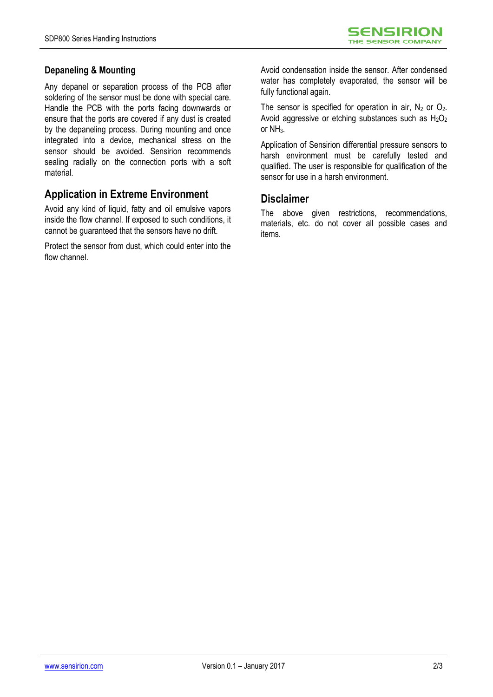#### **Depaneling & Mounting**

Any depanel or separation process of the PCB after soldering of the sensor must be done with special care. Handle the PCB with the ports facing downwards or ensure that the ports are covered if any dust is created by the depaneling process. During mounting and once integrated into a device, mechanical stress on the sensor should be avoided. Sensirion recommends sealing radially on the connection ports with a soft material.

## **Application in Extreme Environment**

Avoid any kind of liquid, fatty and oil emulsive vapors inside the flow channel. If exposed to such conditions, it cannot be guaranteed that the sensors have no drift.

Protect the sensor from dust, which could enter into the flow channel

Avoid condensation inside the sensor. After condensed water has completely evaporated, the sensor will be fully functional again.

The sensor is specified for operation in air,  $N_2$  or  $O_2$ . Avoid aggressive or etching substances such as  $H_2O_2$ or NH<sub>3</sub>.

Application of Sensirion differential pressure sensors to harsh environment must be carefully tested and qualified. The user is responsible for qualification of the sensor for use in a harsh environment.

## **Disclaimer**

The above given restrictions, recommendations, materials, etc. do not cover all possible cases and items.